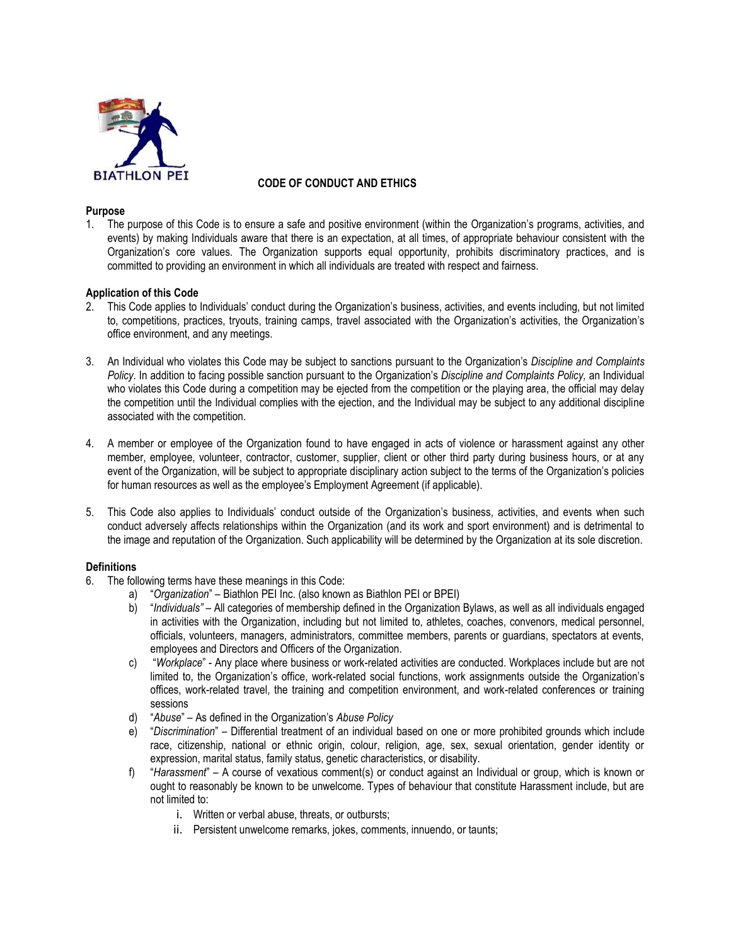

# **CODE OF CONDUCT AND ETHICS**

### **Purpose**

1. The purpose of this Code is to ensure a safe and positive environment (within the Organization's programs, activities, and events) by making Individuals aware that there is an expectation, at all times, of appropriate behaviour consistent with the Organization's core values. The Organization supports equal opportunity, prohibits discriminatory practices, and is committed to providing an environment in which all individuals are treated with respect and fairness.

### **Application of this Code**

- 2. This Code applies to Individuals' conduct during the Organization's business, activities, and events including, but not limited to, competitions, practices, tryouts, training camps, travel associated with the Organization's activities, the Organization's office environment, and any meetings.
- 3. An Individual who violates this Code may be subject to sanctions pursuant to the Organization's *Discipline and Complaints Policy*. In addition to facing possible sanction pursuant to the Organization's *Discipline and Complaints Policy,* an Individual who violates this Code during a competition may be ejected from the competition or the playing area, the official may delay the competition until the Individual complies with the ejection, and the Individual may be subject to any additional discipline associated with the competition.
- 4. A member or employee of the Organization found to have engaged in acts of violence or harassment against any other member, employee, volunteer, contractor, customer, supplier, client or other third party during business hours, or at any event of the Organization, will be subject to appropriate disciplinary action subject to the terms of the Organization's policies for human resources as well as the employee's Employment Agreement (if applicable).
- 5. This Code also applies to Individuals' conduct outside of the Organization's business, activities, and events when such conduct adversely affects relationships within the Organization (and its work and sport environment) and is detrimental to the image and reputation of the Organization. Such applicability will be determined by the Organization at its sole discretion.

### **Definitions**

- 6. The following terms have these meanings in this Code:
	- a) "*Organization*" Biathlon PEI Inc. (also known as Biathlon PEI or BPEI)
	- b) "*Individuals"* All categories of membership defined in the Organization Bylaws, as well as all individuals engaged in activities with the Organization, including but not limited to, athletes, coaches, convenors, medical personnel, officials, volunteers, managers, administrators, committee members, parents or guardians, spectators at events, employees and Directors and Officers of the Organization.
	- c) "*Workplace*" Any place where business or work-related activities are conducted. Workplaces include but are not limited to, the Organization's office, work-related social functions, work assignments outside the Organization's offices, work-related travel, the training and competition environment, and work-related conferences or training sessions
	- d) "*Abuse*" As defined in the Organization's *Abuse Policy*
	- e) "*Discrimination*" Differential treatment of an individual based on one or more prohibited grounds which include race, citizenship, national or ethnic origin, colour, religion, age, sex, sexual orientation, gender identity or expression, marital status, family status, genetic characteristics, or disability.
	- f) "*Harassment*" A course of vexatious comment(s) or conduct against an Individual or group, which is known or ought to reasonably be known to be unwelcome. Types of behaviour that constitute Harassment include, but are not limited to:
		- i. Written or verbal abuse, threats, or outbursts;
		- ii. Persistent unwelcome remarks, jokes, comments, innuendo, or taunts;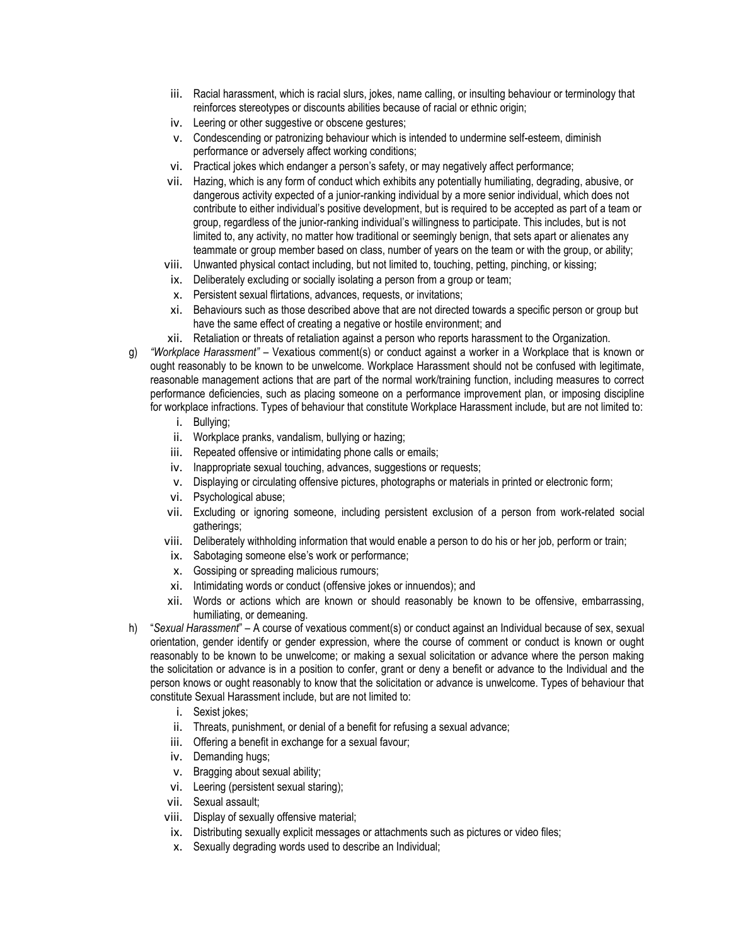- iii. Racial harassment, which is racial slurs, jokes, name calling, or insulting behaviour or terminology that reinforces stereotypes or discounts abilities because of racial or ethnic origin;
- iv. Leering or other suggestive or obscene gestures;
- v. Condescending or patronizing behaviour which is intended to undermine self-esteem, diminish performance or adversely affect working conditions;
- vi. Practical jokes which endanger a person's safety, or may negatively affect performance;
- vii. Hazing, which is any form of conduct which exhibits any potentially humiliating, degrading, abusive, or dangerous activity expected of a junior-ranking individual by a more senior individual, which does not contribute to either individual's positive development, but is required to be accepted as part of a team or group, regardless of the junior-ranking individual's willingness to participate. This includes, but is not limited to, any activity, no matter how traditional or seemingly benign, that sets apart or alienates any teammate or group member based on class, number of years on the team or with the group, or ability;
- viii. Unwanted physical contact including, but not limited to, touching, petting, pinching, or kissing;
- ix. Deliberately excluding or socially isolating a person from a group or team;
- x. Persistent sexual flirtations, advances, requests, or invitations;
- xi. Behaviours such as those described above that are not directed towards a specific person or group but have the same effect of creating a negative or hostile environment; and
- xii. Retaliation or threats of retaliation against a person who reports harassment to the Organization.
- g) *"Workplace Harassment"* Vexatious comment(s) or conduct against a worker in a Workplace that is known or ought reasonably to be known to be unwelcome. Workplace Harassment should not be confused with legitimate, reasonable management actions that are part of the normal work/training function, including measures to correct performance deficiencies, such as placing someone on a performance improvement plan, or imposing discipline for workplace infractions. Types of behaviour that constitute Workplace Harassment include, but are not limited to:
	- i. Bullying;
	- ii. Workplace pranks, vandalism, bullying or hazing;
	- iii. Repeated offensive or intimidating phone calls or emails;
	- iv. Inappropriate sexual touching, advances, suggestions or requests;
	- v. Displaying or circulating offensive pictures, photographs or materials in printed or electronic form;
	- vi. Psychological abuse;
	- vii. Excluding or ignoring someone, including persistent exclusion of a person from work-related social gatherings;
	- viii. Deliberately withholding information that would enable a person to do his or her job, perform or train;
	- ix. Sabotaging someone else's work or performance;
	- x. Gossiping or spreading malicious rumours;
	- xi. Intimidating words or conduct (offensive jokes or innuendos); and
	- xii. Words or actions which are known or should reasonably be known to be offensive, embarrassing, humiliating, or demeaning.
- h) "*Sexual Harassment*" A course of vexatious comment(s) or conduct against an Individual because of sex, sexual orientation, gender identify or gender expression, where the course of comment or conduct is known or ought reasonably to be known to be unwelcome; or making a sexual solicitation or advance where the person making the solicitation or advance is in a position to confer, grant or deny a benefit or advance to the Individual and the person knows or ought reasonably to know that the solicitation or advance is unwelcome. Types of behaviour that constitute Sexual Harassment include, but are not limited to:
	- i. Sexist jokes:
	- ii. Threats, punishment, or denial of a benefit for refusing a sexual advance;
	- iii. Offering a benefit in exchange for a sexual favour;
	- iv. Demanding hugs;
	- v. Bragging about sexual ability;
	- vi. Leering (persistent sexual staring);
	- vii. Sexual assault;
	- viii. Display of sexually offensive material;
	- ix. Distributing sexually explicit messages or attachments such as pictures or video files;
	- x. Sexually degrading words used to describe an Individual;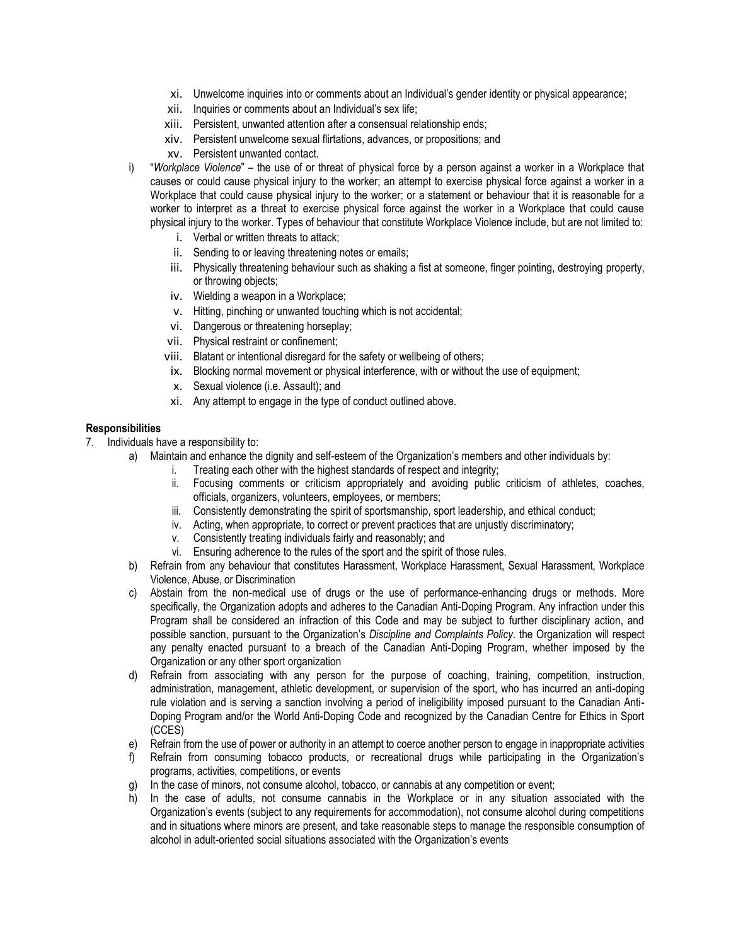- xi. Unwelcome inquiries into or comments about an Individual's gender identity or physical appearance;
- xii. Inquiries or comments about an Individual's sex life;
- xiii. Persistent, unwanted attention after a consensual relationship ends;
- xiv. Persistent unwelcome sexual flirtations, advances, or propositions; and
- xv. Persistent unwanted contact.
- i) "*Workplace Violence*" the use of or threat of physical force by a person against a worker in a Workplace that causes or could cause physical injury to the worker; an attempt to exercise physical force against a worker in a Workplace that could cause physical injury to the worker; or a statement or behaviour that it is reasonable for a worker to interpret as a threat to exercise physical force against the worker in a Workplace that could cause physical injury to the worker. Types of behaviour that constitute Workplace Violence include, but are not limited to:
	- i. Verbal or written threats to attack;
	- ii. Sending to or leaving threatening notes or emails;
	- iii. Physically threatening behaviour such as shaking a fist at someone, finger pointing, destroying property, or throwing objects;
	- iv. Wielding a weapon in a Workplace;
	- v. Hitting, pinching or unwanted touching which is not accidental;
	- vi. Dangerous or threatening horseplay;
	- vii. Physical restraint or confinement;
	- viii. Blatant or intentional disregard for the safety or wellbeing of others;
	- ix. Blocking normal movement or physical interference, with or without the use of equipment;
	- x. Sexual violence (i.e. Assault); and
	- xi. Any attempt to engage in the type of conduct outlined above.

#### **Responsibilities**

- 7. Individuals have a responsibility to:
	- a) Maintain and enhance the dignity and self-esteem of the Organization's members and other individuals by:
		- i. Treating each other with the highest standards of respect and integrity;
		- ii. Focusing comments or criticism appropriately and avoiding public criticism of athletes, coaches, officials, organizers, volunteers, employees, or members;
		- iii. Consistently demonstrating the spirit of sportsmanship, sport leadership, and ethical conduct;
		- iv. Acting, when appropriate, to correct or prevent practices that are unjustly discriminatory;
		- v. Consistently treating individuals fairly and reasonably; and
		- vi. Ensuring adherence to the rules of the sport and the spirit of those rules.
	- b) Refrain from any behaviour that constitutes Harassment, Workplace Harassment, Sexual Harassment, Workplace Violence, Abuse, or Discrimination
	- c) Abstain from the non-medical use of drugs or the use of performance-enhancing drugs or methods. More specifically, the Organization adopts and adheres to the Canadian Anti-Doping Program. Any infraction under this Program shall be considered an infraction of this Code and may be subject to further disciplinary action, and possible sanction, pursuant to the Organization's *Discipline and Complaints Policy*. the Organization will respect any penalty enacted pursuant to a breach of the Canadian Anti-Doping Program, whether imposed by the Organization or any other sport organization
	- d) Refrain from associating with any person for the purpose of coaching, training, competition, instruction, administration, management, athletic development, or supervision of the sport, who has incurred an anti-doping rule violation and is serving a sanction involving a period of ineligibility imposed pursuant to the Canadian Anti-Doping Program and/or the World Anti-Doping Code and recognized by the Canadian Centre for Ethics in Sport (CCES)
	- e) Refrain from the use of power or authority in an attempt to coerce another person to engage in inappropriate activities
	- f) Refrain from consuming tobacco products, or recreational drugs while participating in the Organization's programs, activities, competitions, or events
	- g) In the case of minors, not consume alcohol, tobacco, or cannabis at any competition or event;
	- h) In the case of adults, not consume cannabis in the Workplace or in any situation associated with the Organization's events (subject to any requirements for accommodation), not consume alcohol during competitions and in situations where minors are present, and take reasonable steps to manage the responsible consumption of alcohol in adult-oriented social situations associated with the Organization's events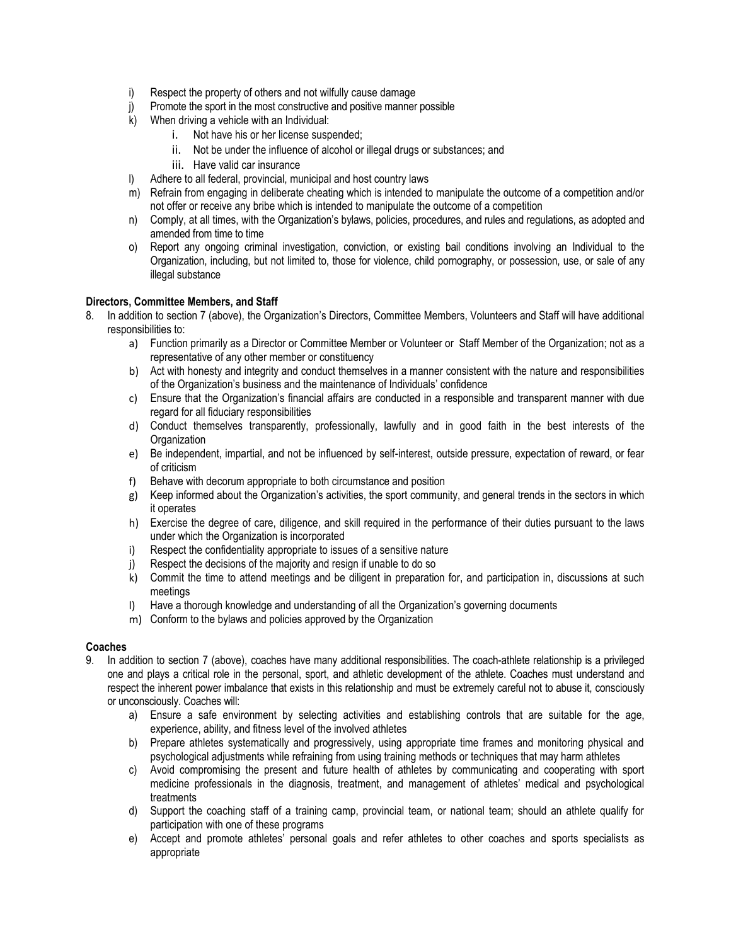- i) Respect the property of others and not wilfully cause damage
- j) Promote the sport in the most constructive and positive manner possible
- k) When driving a vehicle with an Individual:
	- i. Not have his or her license suspended;
	- ii. Not be under the influence of alcohol or illegal drugs or substances; and
	- iii. Have valid car insurance
- l) Adhere to all federal, provincial, municipal and host country laws
- m) Refrain from engaging in deliberate cheating which is intended to manipulate the outcome of a competition and/or not offer or receive any bribe which is intended to manipulate the outcome of a competition
- n) Comply, at all times, with the Organization's bylaws, policies, procedures, and rules and regulations, as adopted and amended from time to time
- o) Report any ongoing criminal investigation, conviction, or existing bail conditions involving an Individual to the Organization, including, but not limited to, those for violence, child pornography, or possession, use, or sale of any illegal substance

## **Directors, Committee Members, and Staff**

- 8. In addition to section 7 (above), the Organization's Directors, Committee Members, Volunteers and Staff will have additional responsibilities to:
	- a) Function primarily as a Director or Committee Member or Volunteer or Staff Member of the Organization; not as a representative of any other member or constituency
	- b) Act with honesty and integrity and conduct themselves in a manner consistent with the nature and responsibilities of the Organization's business and the maintenance of Individuals' confidence
	- c) Ensure that the Organization's financial affairs are conducted in a responsible and transparent manner with due regard for all fiduciary responsibilities
	- d) Conduct themselves transparently, professionally, lawfully and in good faith in the best interests of the **Organization**
	- e) Be independent, impartial, and not be influenced by self-interest, outside pressure, expectation of reward, or fear of criticism
	- f) Behave with decorum appropriate to both circumstance and position
	- g) Keep informed about the Organization's activities, the sport community, and general trends in the sectors in which it operates
	- h) Exercise the degree of care, diligence, and skill required in the performance of their duties pursuant to the laws under which the Organization is incorporated
	- i) Respect the confidentiality appropriate to issues of a sensitive nature
	- j) Respect the decisions of the majority and resign if unable to do so
	- k) Commit the time to attend meetings and be diligent in preparation for, and participation in, discussions at such meetings
	- l) Have a thorough knowledge and understanding of all the Organization's governing documents
	- m) Conform to the bylaws and policies approved by the Organization

### **Coaches**

- 9. In addition to section 7 (above), coaches have many additional responsibilities. The coach-athlete relationship is a privileged one and plays a critical role in the personal, sport, and athletic development of the athlete. Coaches must understand and respect the inherent power imbalance that exists in this relationship and must be extremely careful not to abuse it, consciously or unconsciously. Coaches will:
	- a) Ensure a safe environment by selecting activities and establishing controls that are suitable for the age, experience, ability, and fitness level of the involved athletes
	- b) Prepare athletes systematically and progressively, using appropriate time frames and monitoring physical and psychological adjustments while refraining from using training methods or techniques that may harm athletes
	- c) Avoid compromising the present and future health of athletes by communicating and cooperating with sport medicine professionals in the diagnosis, treatment, and management of athletes' medical and psychological treatments
	- d) Support the coaching staff of a training camp, provincial team, or national team; should an athlete qualify for participation with one of these programs
	- e) Accept and promote athletes' personal goals and refer athletes to other coaches and sports specialists as appropriate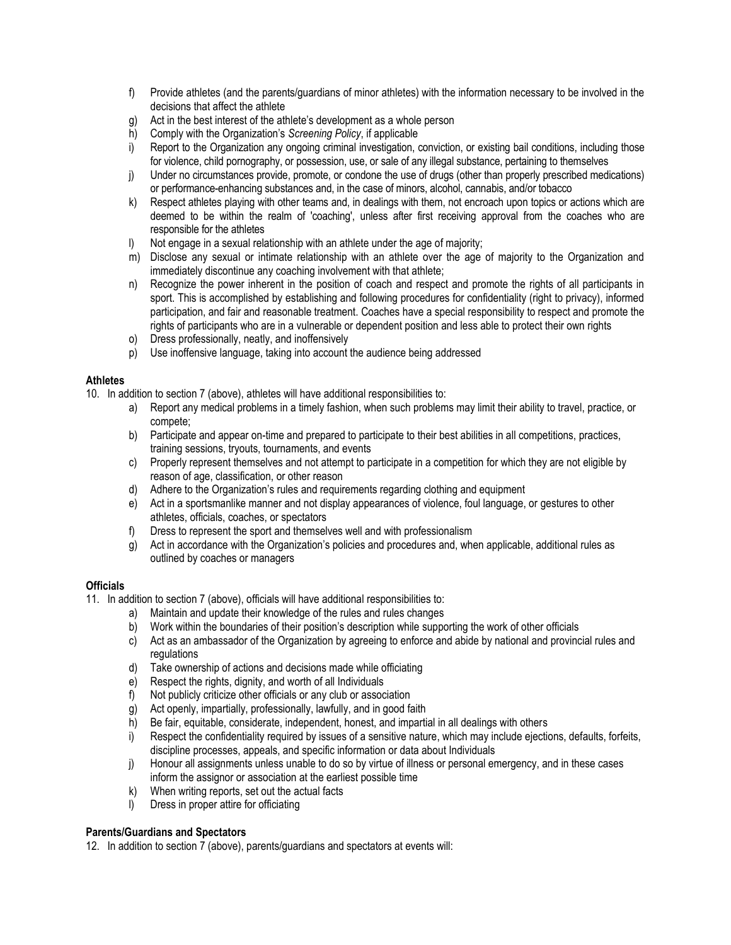- f) Provide athletes (and the parents/guardians of minor athletes) with the information necessary to be involved in the decisions that affect the athlete
- g) Act in the best interest of the athlete's development as a whole person
- h) Comply with the Organization's *Screening Policy*, if applicable
- i) Report to the Organization any ongoing criminal investigation, conviction, or existing bail conditions, including those for violence, child pornography, or possession, use, or sale of any illegal substance, pertaining to themselves
- j) Under no circumstances provide, promote, or condone the use of drugs (other than properly prescribed medications) or performance-enhancing substances and, in the case of minors, alcohol, cannabis, and/or tobacco
- k) Respect athletes playing with other teams and, in dealings with them, not encroach upon topics or actions which are deemed to be within the realm of 'coaching', unless after first receiving approval from the coaches who are responsible for the athletes
- l) Not engage in a sexual relationship with an athlete under the age of majority;
- m) Disclose any sexual or intimate relationship with an athlete over the age of majority to the Organization and immediately discontinue any coaching involvement with that athlete;
- n) Recognize the power inherent in the position of coach and respect and promote the rights of all participants in sport. This is accomplished by establishing and following procedures for confidentiality (right to privacy), informed participation, and fair and reasonable treatment. Coaches have a special responsibility to respect and promote the rights of participants who are in a vulnerable or dependent position and less able to protect their own rights
- o) Dress professionally, neatly, and inoffensively
- p) Use inoffensive language, taking into account the audience being addressed

### **Athletes**

- 10. In addition to section 7 (above), athletes will have additional responsibilities to:
	- a) Report any medical problems in a timely fashion, when such problems may limit their ability to travel, practice, or compete;
	- b) Participate and appear on-time and prepared to participate to their best abilities in all competitions, practices, training sessions, tryouts, tournaments, and events
	- c) Properly represent themselves and not attempt to participate in a competition for which they are not eligible by reason of age, classification, or other reason
	- d) Adhere to the Organization's rules and requirements regarding clothing and equipment
	- e) Act in a sportsmanlike manner and not display appearances of violence, foul language, or gestures to other athletes, officials, coaches, or spectators
	- f) Dress to represent the sport and themselves well and with professionalism
	- g) Act in accordance with the Organization's policies and procedures and, when applicable, additional rules as outlined by coaches or managers

# **Officials**

- 11. In addition to section 7 (above), officials will have additional responsibilities to:
	- a) Maintain and update their knowledge of the rules and rules changes
	- b) Work within the boundaries of their position's description while supporting the work of other officials
	- c) Act as an ambassador of the Organization by agreeing to enforce and abide by national and provincial rules and regulations
	- d) Take ownership of actions and decisions made while officiating
	- e) Respect the rights, dignity, and worth of all Individuals
	- f) Not publicly criticize other officials or any club or association
	- g) Act openly, impartially, professionally, lawfully, and in good faith
	- h) Be fair, equitable, considerate, independent, honest, and impartial in all dealings with others
	- i) Respect the confidentiality required by issues of a sensitive nature, which may include ejections, defaults, forfeits, discipline processes, appeals, and specific information or data about Individuals
	- j) Honour all assignments unless unable to do so by virtue of illness or personal emergency, and in these cases inform the assignor or association at the earliest possible time
	- k) When writing reports, set out the actual facts
	- l) Dress in proper attire for officiating

### **Parents/Guardians and Spectators**

12. In addition to section 7 (above), parents/guardians and spectators at events will: